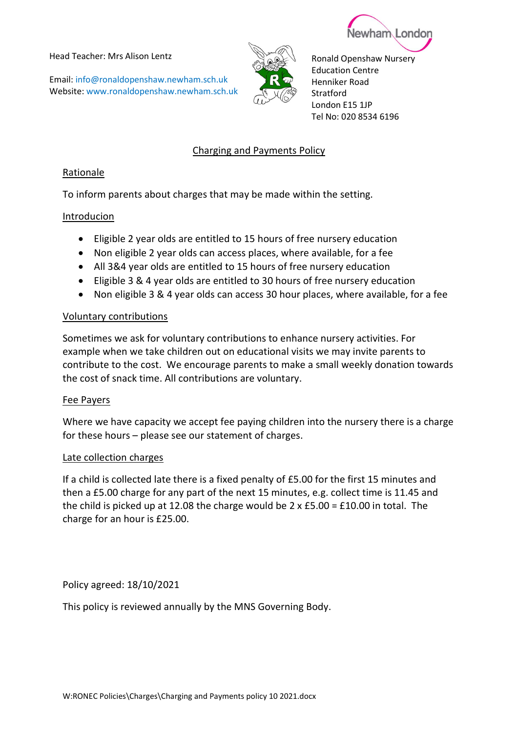Head Teacher: Mrs Alison Lentz

Email: info@ronaldopenshaw.newham.sch.uk Website: www.ronaldopenshaw.newham.sch.uk



Ronald Openshaw Nursery Education Centre Henniker Road **Stratford** London E15 1JP Tel No: 020 8534 6196

Newham Londor

# Charging and Payments Policy

## Rationale

To inform parents about charges that may be made within the setting.

## Introducion

- Eligible 2 year olds are entitled to 15 hours of free nursery education
- Non eligible 2 year olds can access places, where available, for a fee
- All 3&4 year olds are entitled to 15 hours of free nursery education
- Eligible 3 & 4 year olds are entitled to 30 hours of free nursery education
- Non eligible 3 & 4 year olds can access 30 hour places, where available, for a fee

## Voluntary contributions

Sometimes we ask for voluntary contributions to enhance nursery activities. For example when we take children out on educational visits we may invite parents to contribute to the cost. We encourage parents to make a small weekly donation towards the cost of snack time. All contributions are voluntary.

## Fee Payers

Where we have capacity we accept fee paying children into the nursery there is a charge for these hours – please see our statement of charges.

## Late collection charges

If a child is collected late there is a fixed penalty of £5.00 for the first 15 minutes and then a £5.00 charge for any part of the next 15 minutes, e.g. collect time is 11.45 and the child is picked up at 12.08 the charge would be  $2 \times £5.00 = £10.00$  in total. The charge for an hour is £25.00.

Policy agreed: 18/10/2021

This policy is reviewed annually by the MNS Governing Body.